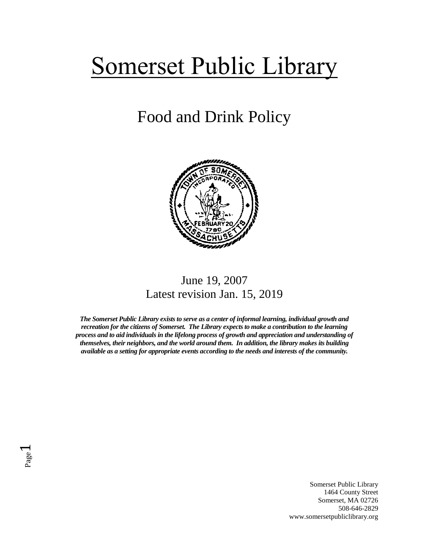# Somerset Public Library

# Food and Drink Policy



## June 19, 2007 Latest revision Jan. 15, 2019

*The Somerset Public Library exists to serve as a center of informal learning, individual growth and recreation for the citizens of Somerset. The Library expects to make a contribution to the learning process and to aid individuals in the lifelong process of growth and appreciation and understanding of themselves, their neighbors, and the world around them. In addition, the library makes its building available as a setting for appropriate events according to the needs and interests of the community.*

Page  $\overline{\phantom{0}}$ 

> Somerset Public Library 1464 County Street Somerset, MA 02726 508-646-2829 www.somersetpubliclibrary.org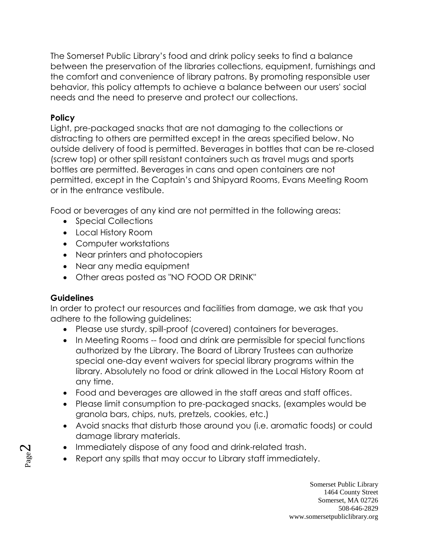The Somerset Public Library's food and drink policy seeks to find a balance between the preservation of the libraries collections, equipment, furnishings and the comfort and convenience of library patrons. By promoting responsible user behavior, this policy attempts to achieve a balance between our users' social needs and the need to preserve and protect our collections.

### **Policy**

Light, pre-packaged snacks that are not damaging to the collections or distracting to others are permitted except in the areas specified below. No outside delivery of food is permitted. Beverages in bottles that can be re-closed (screw top) or other spill resistant containers such as travel mugs and sports bottles are permitted. Beverages in cans and open containers are not permitted, except in the Captain's and Shipyard Rooms, Evans Meeting Room or in the entrance vestibule.

Food or beverages of any kind are not permitted in the following areas:

- Special Collections
- Local History Room
- Computer workstations
- Near printers and photocopiers
- Near any media equipment
- Other areas posted as "NO FOOD OR DRINK"

### **Guidelines**

In order to protect our resources and facilities from damage, we ask that you adhere to the following guidelines:

- Please use sturdy, spill-proof (covered) containers for beverages.
- In Meeting Rooms -- food and drink are permissible for special functions authorized by the Library. The Board of Library Trustees can authorize special one-day event waivers for special library programs within the library. Absolutely no food or drink allowed in the Local History Room at any time.
- Food and beverages are allowed in the staff areas and staff offices.
- Please limit consumption to pre-packaged snacks, (examples would be granola bars, chips, nuts, pretzels, cookies, etc.)
- Avoid snacks that disturb those around you (i.e. aromatic foods) or could damage library materials.
- Immediately dispose of any food and drink-related trash.
- Report any spills that may occur to Library staff immediately.